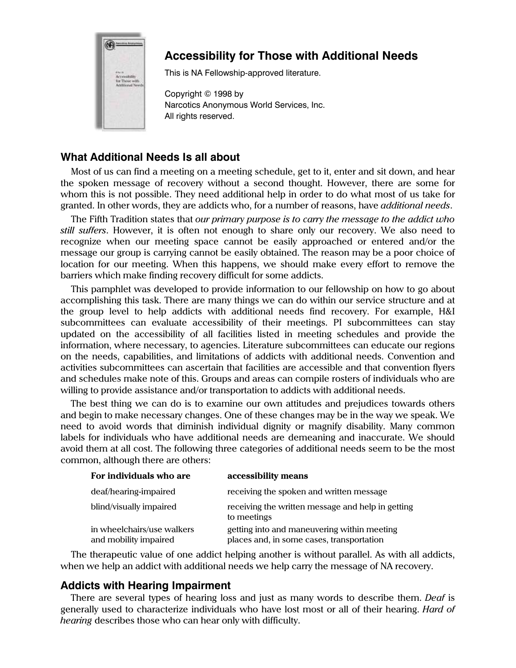

# **Accessibility for Those with Additional Needs**

This is NA Fellowship-approved literature.

Copyright © 1998 by Narcotics Anonymous World Services, Inc. All rights reserved.

## **What Additional Needs Is all about**

Most of us can find a meeting on a meeting schedule, get to it, enter and sit down, and hear the spoken message of recovery without a second thought. However, there are some for whom this is not possible. They need additional help in order to do what most of us take for granted. In other words, they are addicts who, for a number of reasons, have *additional needs*.

The Fifth Tradition states that *our primary purpose is to carry the message to the addict who still suffers*. However, it is often not enough to share only our recovery. We also need to recognize when our meeting space cannot be easily approached or entered and/or the message our group is carrying cannot be easily obtained. The reason may be a poor choice of location for our meeting. When this happens, we should make every effort to remove the barriers which make finding recovery difficult for some addicts.

This pamphlet was developed to provide information to our fellowship on how to go about accomplishing this task. There are many things we can do within our service structure and at the group level to help addicts with additional needs find recovery. For example, H&I subcommittees can evaluate accessibility of their meetings. PI subcommittees can stay updated on the accessibility of all facilities listed in meeting schedules and provide the information, where necessary, to agencies. Literature subcommittees can educate our regions on the needs, capabilities, and limitations of addicts with additional needs. Convention and activities subcommittees can ascertain that facilities are accessible and that convention flyers and schedules make note of this. Groups and areas can compile rosters of individuals who are willing to provide assistance and/or transportation to addicts with additional needs.

The best thing we can do is to examine our own attitudes and prejudices towards others and begin to make necessary changes. One of these changes may be in the way we speak. We need to avoid words that diminish individual dignity or magnify disability. Many common labels for individuals who have additional needs are demeaning and inaccurate. We should avoid them at all cost. The following three categories of additional needs seem to be the most common, although there are others:

| For individuals who are                             | accessibility means                                                                      |
|-----------------------------------------------------|------------------------------------------------------------------------------------------|
| deaf/hearing-impaired                               | receiving the spoken and written message                                                 |
| blind/visually impaired                             | receiving the written message and help in getting<br>to meetings                         |
| in wheelchairs/use walkers<br>and mobility impaired | getting into and maneuvering within meeting<br>places and, in some cases, transportation |

The therapeutic value of one addict helping another is without parallel. As with all addicts, when we help an addict with additional needs we help carry the message of NA recovery.

## **Addicts with Hearing Impairment**

There are several types of hearing loss and just as many words to describe them. *Deaf* is generally used to characterize individuals who have lost most or all of their hearing. *Hard of hearing* describes those who can hear only with difficulty.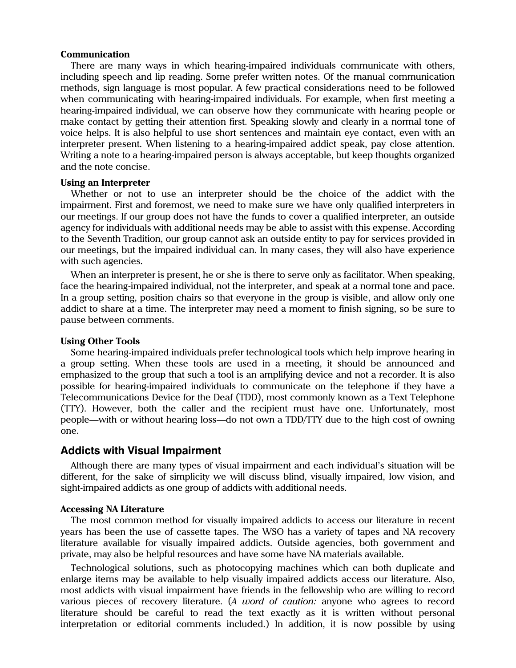#### **Communication**

There are many ways in which hearing-impaired individuals communicate with others, including speech and lip reading. Some prefer written notes. Of the manual communication methods, sign language is most popular. A few practical considerations need to be followed when communicating with hearing-impaired individuals. For example, when first meeting a hearing-impaired individual, we can observe how they communicate with hearing people or make contact by getting their attention first. Speaking slowly and clearly in a normal tone of voice helps. It is also helpful to use short sentences and maintain eye contact, even with an interpreter present. When listening to a hearing-impaired addict speak, pay close attention. Writing a note to a hearing-impaired person is always acceptable, but keep thoughts organized and the note concise.

#### **Using an Interpreter**

Whether or not to use an interpreter should be the choice of the addict with the impairment. First and foremost, we need to make sure we have only qualified interpreters in our meetings. If our group does not have the funds to cover a qualified interpreter, an outside agency for individuals with additional needs may be able to assist with this expense. According to the Seventh Tradition, our group cannot ask an outside entity to pay for services provided in our meetings, but the impaired individual can. In many cases, they will also have experience with such agencies.

When an interpreter is present, he or she is there to serve only as facilitator. When speaking, face the hearing-impaired individual, not the interpreter, and speak at a normal tone and pace. In a group setting, position chairs so that everyone in the group is visible, and allow only one addict to share at a time. The interpreter may need a moment to finish signing, so be sure to pause between comments.

#### **Using Other Tools**

Some hearing-impaired individuals prefer technological tools which help improve hearing in a group setting. When these tools are used in a meeting, it should be announced and emphasized to the group that such a tool is an amplifying device and not a recorder. It is also possible for hearing-impaired individuals to communicate on the telephone if they have a Telecommunications Device for the Deaf (TDD), most commonly known as a Text Telephone (TTY). However, both the caller and the recipient must have one. Unfortunately, most people—with or without hearing loss—do not own a TDD/TTY due to the high cost of owning one.

### **Addicts with Visual Impairment**

Although there are many types of visual impairment and each individual's situation will be different, for the sake of simplicity we will discuss blind, visually impaired, low vision, and sight-impaired addicts as one group of addicts with additional needs.

#### **Accessing NA Literature**

The most common method for visually impaired addicts to access our literature in recent years has been the use of cassette tapes. The WSO has a variety of tapes and NA recovery literature available for visually impaired addicts. Outside agencies, both government and private, may also be helpful resources and have some have NA materials available.

Technological solutions, such as photocopying machines which can both duplicate and enlarge items may be available to help visually impaired addicts access our literature. Also, most addicts with visual impairment have friends in the fellowship who are willing to record various pieces of recovery literature. (*A word of caution:* anyone who agrees to record literature should be careful to read the text exactly as it is written without personal interpretation or editorial comments included.) In addition, it is now possible by using